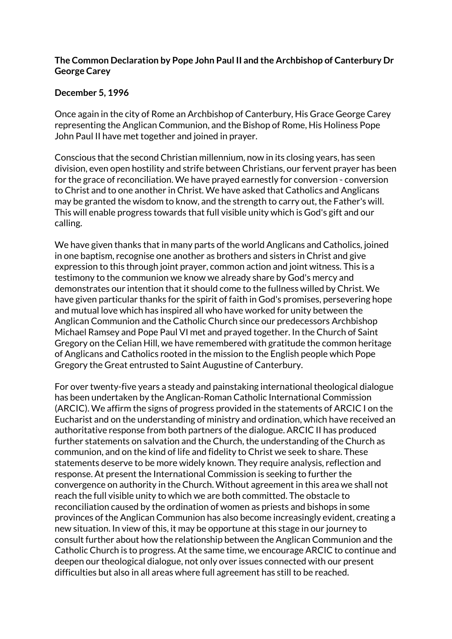## **The Common Declaration by Pope John Paul II and the Archbishop of Canterbury Dr George Carey**

## **December 5, 1996**

Once again in the city of Rome an Archbishop of Canterbury, His Grace George Carey representing the Anglican Communion, and the Bishop of Rome, His Holiness Pope John Paul II have met together and joined in prayer.

Conscious that the second Christian millennium, now in its closing years, has seen division, even open hostility and strife between Christians, our fervent prayer has been for the grace of reconciliation. We have prayed earnestly for conversion - conversion to Christ and to one another in Christ. We have asked that Catholics and Anglicans may be granted the wisdom to know, and the strength to carry out, the Father's will. This will enable progress towards that full visible unity which is God's gift and our calling.

We have given thanks that in many parts of the world Anglicans and Catholics, joined in one baptism, recognise one another as brothers and sisters in Christ and give expression to this through joint prayer, common action and joint witness. This is a testimony to the communion we know we already share by God's mercy and demonstrates our intention that it should come to the fullness willed by Christ. We have given particular thanks for the spirit of faith in God's promises, persevering hope and mutual love which has inspired all who have worked for unity between the Anglican Communion and the Catholic Church since our predecessors Archbishop Michael Ramsey and Pope Paul VI met and prayed together. In the Church of Saint Gregory on the Celian Hill, we have remembered with gratitude the common heritage of Anglicans and Catholics rooted in the mission to the English people which Pope Gregory the Great entrusted to Saint Augustine of Canterbury.

For over twenty-five years a steady and painstaking international theological dialogue has been undertaken by the Anglican-Roman Catholic International Commission (ARCIC). We affirm the signs of progress provided in the statements of ARCIC I on the Eucharist and on the understanding of ministry and ordination, which have received an authoritative response from both partners of the dialogue. ARCIC II has produced further statements on salvation and the Church, the understanding of the Church as communion, and on the kind of life and fidelity to Christ we seek to share. These statements deserve to be more widely known. They require analysis, reflection and response. At present the International Commission is seeking to further the convergence on authority in the Church. Without agreement in this area we shall not reach the full visible unity to which we are both committed. The obstacle to reconciliation caused by the ordination of women as priests and bishops in some provinces of the Anglican Communion has also become increasingly evident, creating a new situation. In view of this, it may be opportune at this stage in our journey to consult further about how the relationship between the Anglican Communion and the Catholic Church is to progress. At the same time, we encourage ARCIC to continue and deepen our theological dialogue, not only over issues connected with our present difficulties but also in all areas where full agreement has still to be reached.